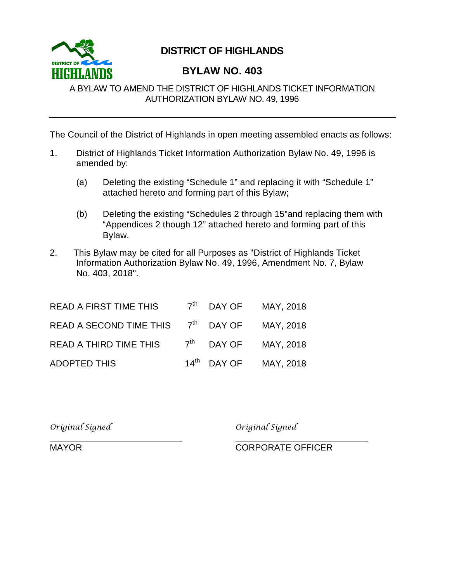

## **DISTRICT OF HIGHLANDS**

## **BYLAW NO. 403**

## A BYLAW TO AMEND THE DISTRICT OF HIGHLANDS TICKET INFORMATION AUTHORIZATION BYLAW NO. 49, 1996

The Council of the District of Highlands in open meeting assembled enacts as follows:

- 1. District of Highlands Ticket Information Authorization Bylaw No. 49, 1996 is amended by:
	- (a) Deleting the existing "Schedule 1" and replacing it with "Schedule 1" attached hereto and forming part of this Bylaw;
	- (b) Deleting the existing "Schedules 2 through 15"and replacing them with "Appendices 2 though 12" attached hereto and forming part of this Bylaw.
- 2. This Bylaw may be cited for all Purposes as "District of Highlands Ticket Information Authorization Bylaw No. 49, 1996, Amendment No. 7, Bylaw No. 403, 2018".

| <b>READ A FIRST TIME THIS</b>                  | $7th$ DAY OF MAY, 2018            |  |
|------------------------------------------------|-----------------------------------|--|
| READ A SECOND TIME THIS $7th$ DAY OF MAY, 2018 |                                   |  |
| READ A THIRD TIME THIS                         | $7th$ DAY OF MAY, 2018            |  |
| <b>ADOPTED THIS</b>                            | 14 <sup>th</sup> DAY OF MAY, 2018 |  |

*Original Signed Original Signed*

MAYOR CORPORATE OFFICER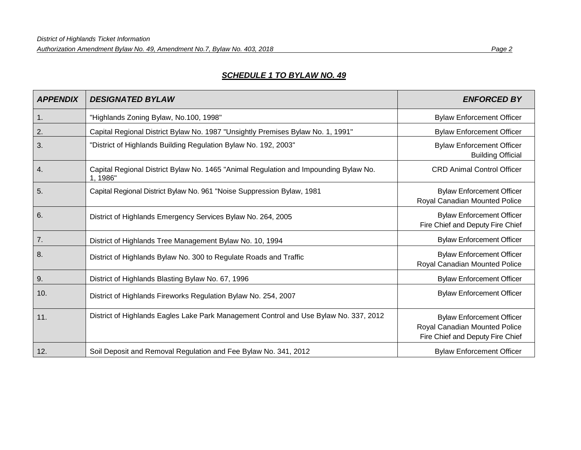*Authorization Amendment Bylaw No. 49, Amendment No.7, Bylaw No. 403, 2018 Page 2*

## *SCHEDULE 1 TO BYLAW NO. 49*

| <b>APPENDIX</b> | <b>DESIGNATED BYLAW</b>                                                                          | <b>ENFORCED BY</b>                                                                                    |
|-----------------|--------------------------------------------------------------------------------------------------|-------------------------------------------------------------------------------------------------------|
| 1.              | "Highlands Zoning Bylaw, No.100, 1998"                                                           | <b>Bylaw Enforcement Officer</b>                                                                      |
| 2.              | Capital Regional District Bylaw No. 1987 "Unsightly Premises Bylaw No. 1, 1991"                  | <b>Bylaw Enforcement Officer</b>                                                                      |
| 3.              | "District of Highlands Building Regulation Bylaw No. 192, 2003"                                  | <b>Bylaw Enforcement Officer</b><br><b>Building Official</b>                                          |
| 4.              | Capital Regional District Bylaw No. 1465 "Animal Regulation and Impounding Bylaw No.<br>1, 1986" | <b>CRD Animal Control Officer</b>                                                                     |
| 5.              | Capital Regional District Bylaw No. 961 "Noise Suppression Bylaw, 1981                           | <b>Bylaw Enforcement Officer</b><br>Royal Canadian Mounted Police                                     |
| 6.              | District of Highlands Emergency Services Bylaw No. 264, 2005                                     | <b>Bylaw Enforcement Officer</b><br>Fire Chief and Deputy Fire Chief                                  |
| 7.              | District of Highlands Tree Management Bylaw No. 10, 1994                                         | <b>Bylaw Enforcement Officer</b>                                                                      |
| 8.              | District of Highlands Bylaw No. 300 to Regulate Roads and Traffic                                | <b>Bylaw Enforcement Officer</b><br>Royal Canadian Mounted Police                                     |
| 9.              | District of Highlands Blasting Bylaw No. 67, 1996                                                | <b>Bylaw Enforcement Officer</b>                                                                      |
| 10.             | District of Highlands Fireworks Regulation Bylaw No. 254, 2007                                   | <b>Bylaw Enforcement Officer</b>                                                                      |
| 11.             | District of Highlands Eagles Lake Park Management Control and Use Bylaw No. 337, 2012            | <b>Bylaw Enforcement Officer</b><br>Royal Canadian Mounted Police<br>Fire Chief and Deputy Fire Chief |
| 12.             | Soil Deposit and Removal Regulation and Fee Bylaw No. 341, 2012                                  | <b>Bylaw Enforcement Officer</b>                                                                      |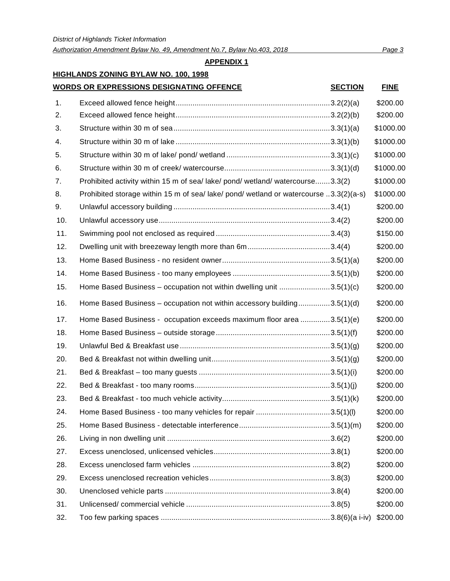*Authorization Amendment Bylaw No. 49, Amendment No.7, Bylaw No.403, 2018 Page 3*

#### **APPENDIX 1**

1. Exceed allowed fence height.........................................................................3.2(2)(a) \$200.00

## **HIGHLANDS ZONING BYLAW NO. 100, 1998**

#### **WORDS OR EXPRESSIONS DESIGNATING OFFENCE SECTION FINE**

# 2. Exceed allowed fence height.........................................................................3.2(2)(b) \$200.00 3. Structure within 30 m of sea..........................................................................3.3(1)(a) \$1000.00 4. Structure within 30 m of lake .........................................................................3.3(1)(b) \$1000.00 5. Structure within 30 m of lake/ pond/ wetland .................................................3.3(1)(c) \$1000.00 6. Structure within 30 m of creek/ watercourse..................................................3.3(1)(d) \$1000.00 7. Prohibited activity within 15 m of sea/ lake/ pond/ wetland/ watercourse.......3.3(2) \$1000.00 8. Prohibited storage within 15 m of sea/ lake/ pond/ wetland or watercourse ..3.3(2)(a-s) \$1000.00 9. Unlawful accessory building ..........................................................................3.4(1) \$200.00 10. Unlawful accessory use.................................................................................3.4(2) \$200.00 11. Swimming pool not enclosed as required ......................................................3.4(3) \$150.00

| 12. |                                                                         | \$200.00 |
|-----|-------------------------------------------------------------------------|----------|
| 13. |                                                                         | \$200.00 |
| 14. |                                                                         | \$200.00 |
| 15. | Home Based Business - occupation not within dwelling unit 3.5(1)(c)     | \$200.00 |
| 16. | Home Based Business - occupation not within accessory building3.5(1)(d) | \$200.00 |
| 17. | Home Based Business - occupation exceeds maximum floor area 3.5(1)(e)   | \$200.00 |
| 18. |                                                                         | \$200.00 |
| 19. |                                                                         | \$200.00 |
| 20. |                                                                         | \$200.00 |
| 21. |                                                                         | \$200.00 |
| 22. |                                                                         | \$200.00 |
| 23. |                                                                         | \$200.00 |
| 24. | Home Based Business - too many vehicles for repair 3.5(1)(l)            | \$200.00 |
| 25. |                                                                         | \$200.00 |
| 26. |                                                                         | \$200.00 |
| 27. |                                                                         | \$200.00 |
| 28. |                                                                         | \$200.00 |
| 29. |                                                                         | \$200.00 |
| 30. |                                                                         | \$200.00 |
| 31. |                                                                         | \$200.00 |
| 32. | Too few parking spaces ……………………………………………………………………3.8(6)(a i-iv)         | \$200.00 |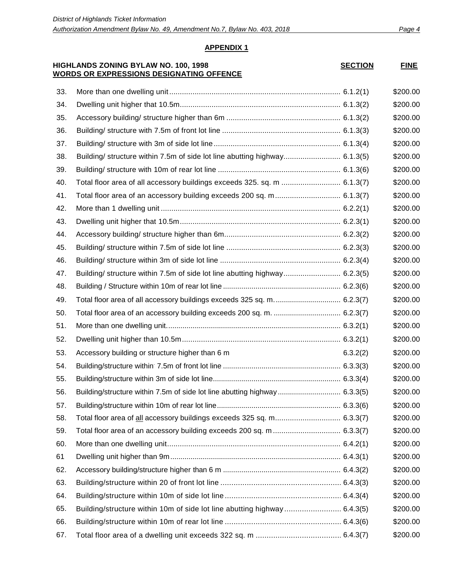#### **HIGHLANDS ZONING BYLAW NO. 100, 1998 WORDS OR EXPRESSIONS DESIGNATING OFFENCE**

| <b>SECTION</b> | <b>FINE</b> |
|----------------|-------------|
|----------------|-------------|

| 33. |                                                                            |          | \$200.00 |
|-----|----------------------------------------------------------------------------|----------|----------|
| 34. |                                                                            |          | \$200.00 |
| 35. |                                                                            |          | \$200.00 |
| 36. |                                                                            |          | \$200.00 |
| 37. |                                                                            |          | \$200.00 |
| 38. | Building/ structure within 7.5m of side lot line abutting highway 6.1.3(5) |          | \$200.00 |
| 39. |                                                                            |          | \$200.00 |
| 40. | Total floor area of all accessory buildings exceeds 325. sq. m  6.1.3(7)   |          | \$200.00 |
| 41. |                                                                            |          | \$200.00 |
| 42. |                                                                            |          | \$200.00 |
| 43. |                                                                            |          | \$200.00 |
| 44. |                                                                            |          | \$200.00 |
| 45. |                                                                            |          | \$200.00 |
| 46. |                                                                            |          | \$200.00 |
| 47. | Building/ structure within 7.5m of side lot line abutting highway 6.2.3(5) |          | \$200.00 |
| 48. |                                                                            |          | \$200.00 |
| 49. | Total floor area of all accessory buildings exceeds 325 sq. m 6.2.3(7)     |          | \$200.00 |
| 50. |                                                                            |          | \$200.00 |
| 51. |                                                                            |          | \$200.00 |
| 52. |                                                                            |          | \$200.00 |
| 53. | Accessory building or structure higher than 6 m                            | 6.3.2(2) | \$200.00 |
| 54. |                                                                            |          | \$200.00 |
| 55. |                                                                            |          | \$200.00 |
| 56. | Building/structure within 7.5m of side lot line abutting highway 6.3.3(5)  |          | \$200.00 |
| 57. |                                                                            |          | \$200.00 |
| 58. | Total floor area of all accessory buildings exceeds 325 sq. m 6.3.3(7)     |          | \$200.00 |
| 59. |                                                                            |          | \$200.00 |
| 60. |                                                                            |          | \$200.00 |
| 61  |                                                                            |          | \$200.00 |
| 62. |                                                                            |          | \$200.00 |
| 63. |                                                                            |          | \$200.00 |
| 64. |                                                                            |          | \$200.00 |
| 65. |                                                                            |          | \$200.00 |
| 66. |                                                                            |          | \$200.00 |
| 67. |                                                                            |          | \$200.00 |
|     |                                                                            |          |          |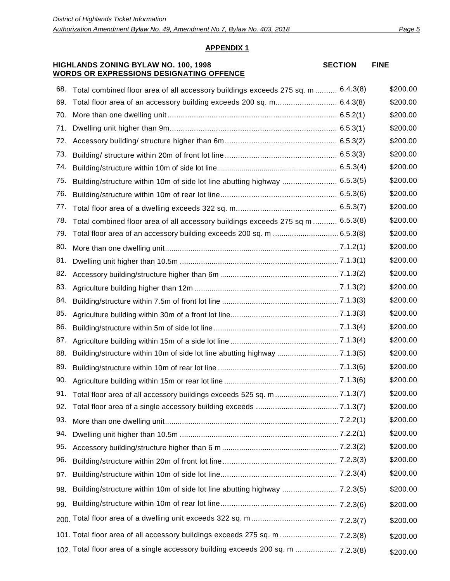**SECTION FINE**

#### **APPENDIX 1**

#### **HIGHLANDS ZONING BYLAW NO. 100, 1998 WORDS OR EXPRESSIONS DESIGNATING OFFENCE**

| 68. | Total combined floor area of all accessory buildings exceeds 275 sq. m  6.4.3(8) | \$200.00 |
|-----|----------------------------------------------------------------------------------|----------|
| 69. |                                                                                  | \$200.00 |
| 70. |                                                                                  | \$200.00 |
| 71. |                                                                                  | \$200.00 |
| 72. |                                                                                  | \$200.00 |
| 73. |                                                                                  | \$200.00 |
| 74. |                                                                                  | \$200.00 |
| 75. | Building/structure within 10m of side lot line abutting highway  6.5.3(5)        | \$200.00 |
| 76. |                                                                                  | \$200.00 |
| 77. |                                                                                  | \$200.00 |
| 78. | Total combined floor area of all accessory buildings exceeds 275 sq m  6.5.3(8)  | \$200.00 |
| 79. |                                                                                  | \$200.00 |
| 80. |                                                                                  | \$200.00 |
| 81. |                                                                                  | \$200.00 |
| 82. |                                                                                  | \$200.00 |
| 83. |                                                                                  | \$200.00 |
| 84. |                                                                                  | \$200.00 |
| 85. |                                                                                  | \$200.00 |
| 86. |                                                                                  | \$200.00 |
| 87. |                                                                                  | \$200.00 |
| 88. |                                                                                  | \$200.00 |
| 89. |                                                                                  | \$200.00 |
| 90. |                                                                                  | \$200.00 |
| 91. |                                                                                  | \$200.00 |
| 92. |                                                                                  | \$200.00 |
| 93. |                                                                                  | \$200.00 |
| 94. |                                                                                  | \$200.00 |
| 95. |                                                                                  | \$200.00 |
| 96. |                                                                                  | \$200.00 |
| 97. |                                                                                  | \$200.00 |
| 98. |                                                                                  | \$200.00 |
| 99. |                                                                                  | \$200.00 |
|     |                                                                                  |          |
|     |                                                                                  | \$200.00 |
|     | 101. Total floor area of all accessory buildings exceeds 275 sq. m  7.2.3(8)     | \$200.00 |
|     | 102. Total floor area of a single accessory building exceeds 200 sq. m  7.2.3(8) | \$200.00 |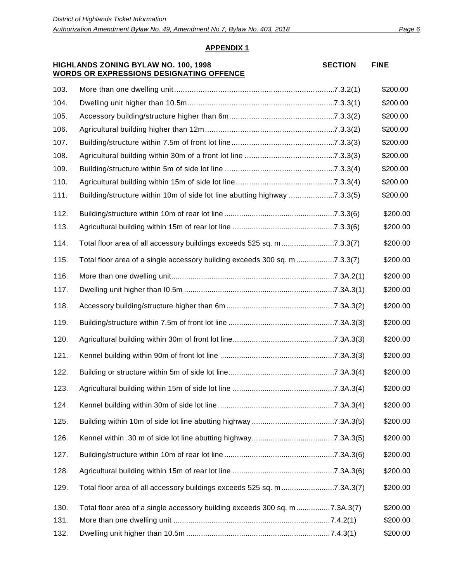#### **HIGHLANDS ZONING BYLAW NO. 100, 1998 WORDS OR EXPRESSIONS DESIGNATING OFFENCE**

**SECTION FINE**

| 103. |                                                                            | \$200.00 |
|------|----------------------------------------------------------------------------|----------|
| 104. |                                                                            | \$200.00 |
| 105. |                                                                            | \$200.00 |
| 106. |                                                                            | \$200.00 |
| 107. |                                                                            | \$200.00 |
| 108. |                                                                            | \$200.00 |
| 109. |                                                                            | \$200.00 |
| 110. |                                                                            | \$200.00 |
| 111. | Building/structure within 10m of side lot line abutting highway 7.3.3(5)   | \$200.00 |
| 112. |                                                                            | \$200.00 |
| 113. |                                                                            | \$200.00 |
| 114. | Total floor area of all accessory buildings exceeds 525 sq. m7.3.3(7)      | \$200.00 |
| 115. | Total floor area of a single accessory building exceeds 300 sq. m 7.3.3(7) | \$200.00 |
| 116. |                                                                            | \$200.00 |
| 117. |                                                                            | \$200.00 |
| 118. |                                                                            | \$200.00 |
| 119. |                                                                            | \$200.00 |
| 120. |                                                                            | \$200.00 |
| 121. |                                                                            | \$200.00 |
| 122. |                                                                            | \$200.00 |
| 123. |                                                                            | \$200.00 |
| 124. |                                                                            | \$200.00 |
| 125. |                                                                            | \$200.00 |
| 126. |                                                                            | \$200.00 |
| 127. |                                                                            | \$200.00 |
| 128. |                                                                            | \$200.00 |
| 129. | Total floor area of all accessory buildings exceeds 525 sq. m7.3A.3(7)     | \$200.00 |
| 130. | Total floor area of a single accessory building exceeds 300 sq. m7.3A.3(7) | \$200.00 |
| 131. |                                                                            | \$200.00 |
| 132. |                                                                            | \$200.00 |
|      |                                                                            |          |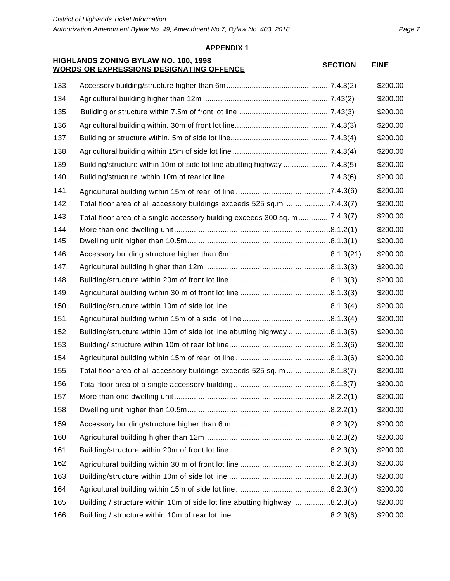#### **HIGHLANDS ZONING BYLAW NO. 100, 1998 WORDS ON EXPRESSIONS DESIGNATING OFFENCE** SECTION FINE

| 133. |                                                                            | \$200.00 |
|------|----------------------------------------------------------------------------|----------|
| 134. |                                                                            | \$200.00 |
| 135. |                                                                            | \$200.00 |
| 136. |                                                                            | \$200.00 |
| 137. |                                                                            | \$200.00 |
| 138. |                                                                            | \$200.00 |
| 139. | Building/structure within 10m of side lot line abutting highway 7.4.3(5)   | \$200.00 |
| 140. |                                                                            | \$200.00 |
| 141. |                                                                            | \$200.00 |
| 142. | Total floor area of all accessory buildings exceeds 525 sq.m 7.4.3(7)      | \$200.00 |
| 143. | Total floor area of a single accessory building exceeds 300 sq. m7.4.3(7)  | \$200.00 |
| 144. |                                                                            | \$200.00 |
| 145. |                                                                            | \$200.00 |
| 146. |                                                                            | \$200.00 |
| 147. |                                                                            | \$200.00 |
| 148. |                                                                            | \$200.00 |
| 149. |                                                                            | \$200.00 |
| 150. |                                                                            | \$200.00 |
| 151. |                                                                            | \$200.00 |
| 152. | Building/structure within 10m of side lot line abutting highway 8.1.3(5)   | \$200.00 |
| 153. |                                                                            | \$200.00 |
| 154. |                                                                            | \$200.00 |
| 155. | Total floor area of all accessory buildings exceeds 525 sq. m8.1.3(7)      | \$200.00 |
| 156. |                                                                            | \$200.00 |
| 157. |                                                                            | \$200.00 |
| 158. |                                                                            | \$200.00 |
| 159. |                                                                            | \$200.00 |
| 160. |                                                                            | \$200.00 |
| 161. |                                                                            | \$200.00 |
| 162. |                                                                            | \$200.00 |
| 163. |                                                                            | \$200.00 |
| 164. |                                                                            | \$200.00 |
| 165. | Building / structure within 10m of side lot line abutting highway 8.2.3(5) | \$200.00 |
| 166. |                                                                            | \$200.00 |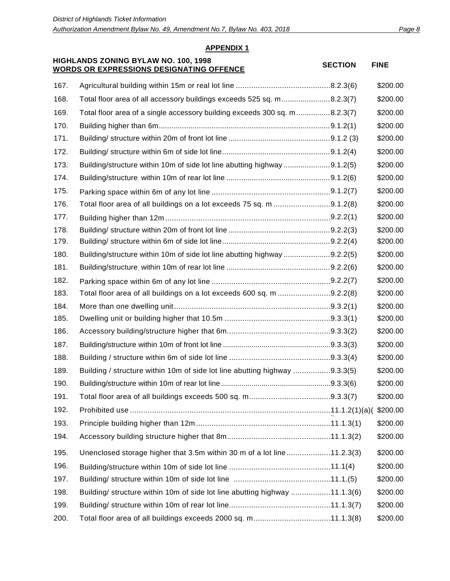#### **HIGHLANDS ZONING BYLAW NO. 100, 1998 WORDS ON EXPRESSIONS DESIGNATING OFFENCE** SECTION FINE

| 167. |                                                                            | \$200.00 |
|------|----------------------------------------------------------------------------|----------|
| 168. | Total floor area of all accessory buildings exceeds 525 sq. m8.2.3(7)      | \$200.00 |
| 169. | Total floor area of a single accessory building exceeds 300 sq. m8.2.3(7)  | \$200.00 |
| 170. |                                                                            | \$200.00 |
| 171. |                                                                            | \$200.00 |
| 172. |                                                                            | \$200.00 |
| 173. | Building/structure within 10m of side lot line abutting highway 9.1.2(5)   | \$200.00 |
| 174. |                                                                            | \$200.00 |
| 175. |                                                                            | \$200.00 |
| 176. | Total floor area of all buildings on a lot exceeds 75 sq. m 9.1.2(8)       | \$200.00 |
| 177. |                                                                            | \$200.00 |
| 178. |                                                                            | \$200.00 |
| 179. |                                                                            | \$200.00 |
| 180. | Building/structure within 10m of side lot line abutting highway 9.2.2(5)   | \$200.00 |
| 181. |                                                                            | \$200.00 |
| 182. |                                                                            | \$200.00 |
| 183. | Total floor area of all buildings on a lot exceeds 600 sq. m 9.2.2(8)      | \$200.00 |
| 184. |                                                                            | \$200.00 |
| 185. |                                                                            | \$200.00 |
| 186. |                                                                            | \$200.00 |
| 187. |                                                                            | \$200.00 |
| 188. |                                                                            | \$200.00 |
| 189. | Building / structure within 10m of side lot line abutting highway 9.3.3(5) | \$200.00 |
| 190. |                                                                            | \$200.00 |
| 191. |                                                                            | \$200.00 |
| 192. |                                                                            | \$200.00 |
| 193. |                                                                            | \$200.00 |
| 194. |                                                                            | \$200.00 |
| 195. | Unenclosed storage higher that 3.5m within 30 m of a lot line11.2.3(3)     | \$200.00 |
| 196. |                                                                            | \$200.00 |
| 197. |                                                                            | \$200.00 |
| 198. | Building/ structure within 10m of side lot line abutting highway 11.1.3(6) | \$200.00 |
| 199. |                                                                            | \$200.00 |
| 200. |                                                                            | \$200.00 |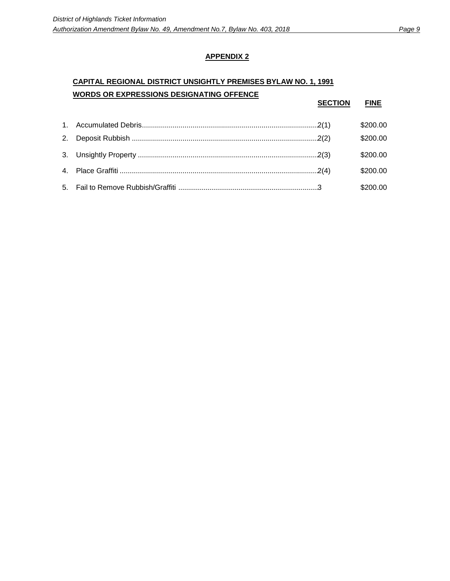## **CAPITAL REGIONAL DISTRICT UNSIGHTLY PREMISES BYLAW NO. 1, 1991 WORDS OR EXPRESSIONS DESIGNATING OFFENCE**

|  | <b>SECTION</b> | <b>FINE</b> |
|--|----------------|-------------|
|  |                | \$200.00    |
|  |                | \$200.00    |
|  |                | \$200.00    |
|  |                | \$200.00    |
|  |                | \$200.00    |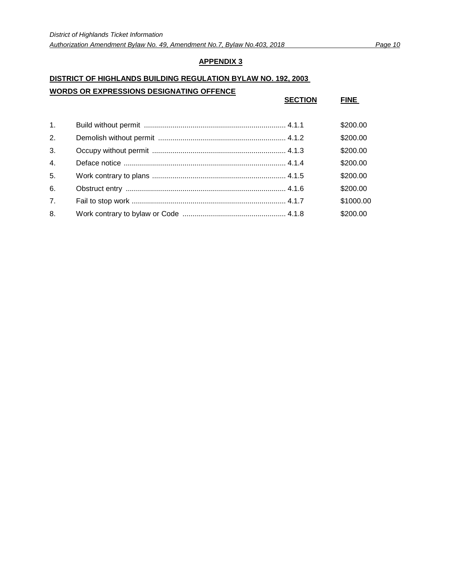#### **DISTRICT OF HIGHLANDS BUILDING REGULATION BYLAW NO. 192, 2003**

#### **WORDS OR EXPRESSIONS DESIGNATING OFFENCE**

|                  | <b>SECTION</b> | <b>FINE</b> |
|------------------|----------------|-------------|
| 1 <sub>1</sub>   |                | \$200.00    |
| 2.               |                | \$200.00    |
| 3.               |                | \$200.00    |
| $\overline{4}$ . |                | \$200.00    |
| 5.               |                | \$200.00    |
| 6.               |                | \$200.00    |
| 7 <sub>1</sub>   |                | \$1000.00   |
| 8.               |                | \$200.00    |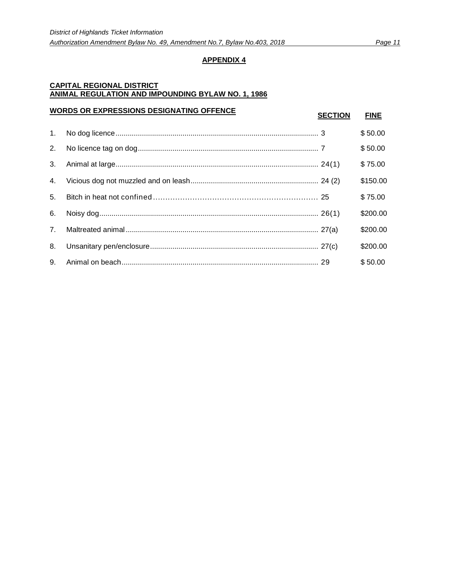#### **CAPITAL REGIONAL DISTRICT ANIMAL REGULATION AND IMPOUNDING BYLAW NO. 1, 1986**

|             | <b>WORDS OR EXPRESSIONS DESIGNATING OFFENCE</b> | <b>SECTION</b> | <b>FINE</b> |
|-------------|-------------------------------------------------|----------------|-------------|
| $1_{\cdot}$ |                                                 |                | \$50.00     |
| 2.          |                                                 |                | \$50.00     |
| 3.          |                                                 |                | \$75.00     |
| 4.          |                                                 |                | \$150.00    |
| 5.          |                                                 |                | \$75.00     |
| 6.          |                                                 |                | \$200.00    |
| 7.          |                                                 |                | \$200.00    |
| 8.          |                                                 |                | \$200.00    |
| 9.          |                                                 |                | \$50.00     |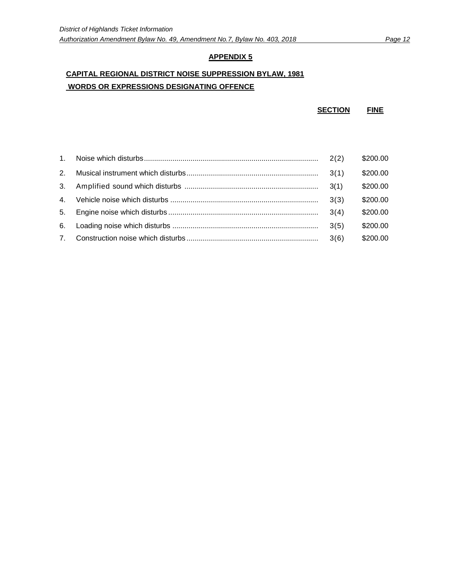## **CAPITAL REGIONAL DISTRICT NOISE SUPPRESSION BYLAW, 1981 WORDS OR EXPRESSIONS DESIGNATING OFFENCE**

**SECTION FINE**

|                | 2(2) | \$200.00 |
|----------------|------|----------|
| 2 <sup>1</sup> |      | \$200.00 |
| 3.             | 3(1) | \$200.00 |
| 4 <sup>1</sup> | 3(3) | \$200.00 |
| 5.             | 3(4) | \$200.00 |
| 6.             | 3(5) | \$200.00 |
| 7 <sub>1</sub> | 3(6) | \$200.00 |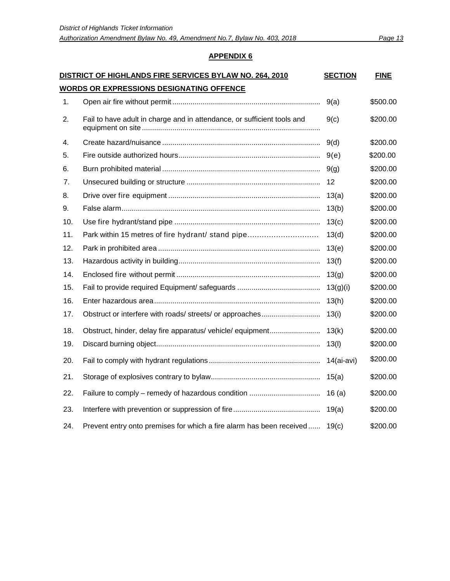| DISTRICT OF HIGHLANDS FIRE SERVICES BYLAW NO. 264, 2010 |                                                                         |            | <b>FINE</b> |  |  |
|---------------------------------------------------------|-------------------------------------------------------------------------|------------|-------------|--|--|
| <u>WORDS OR EXPRESSIONS DESIGNATING OFFENCE</u>         |                                                                         |            |             |  |  |
| 1.                                                      |                                                                         | 9(a)       | \$500.00    |  |  |
| 2.                                                      | Fail to have adult in charge and in attendance, or sufficient tools and | 9(c)       | \$200.00    |  |  |
| 4.                                                      |                                                                         | 9(d)       | \$200.00    |  |  |
| 5.                                                      |                                                                         | 9(e)       | \$200.00    |  |  |
| 6.                                                      |                                                                         | 9(g)       | \$200.00    |  |  |
| 7 <sub>1</sub>                                          |                                                                         | 12         | \$200.00    |  |  |
| 8.                                                      |                                                                         | 13(a)      | \$200.00    |  |  |
| 9.                                                      |                                                                         | 13(b)      | \$200.00    |  |  |
| 10.                                                     |                                                                         | 13(c)      | \$200.00    |  |  |
| 11.                                                     | Park within 15 metres of fire hydrant/ stand pipe                       | 13(d)      | \$200.00    |  |  |
| 12.                                                     |                                                                         | 13(e)      | \$200.00    |  |  |
| 13.                                                     |                                                                         | 13(f)      | \$200.00    |  |  |
| 14.                                                     |                                                                         | 13(g)      | \$200.00    |  |  |
| 15.                                                     |                                                                         | 13(g)(i)   | \$200.00    |  |  |
| 16.                                                     |                                                                         | 13(h)      | \$200.00    |  |  |
| 17.                                                     |                                                                         | 13(i)      | \$200.00    |  |  |
| 18.                                                     | Obstruct, hinder, delay fire apparatus/ vehicle/ equipment              | 13(k)      | \$200.00    |  |  |
| 19.                                                     |                                                                         | 13(l)      | \$200.00    |  |  |
| 20.                                                     |                                                                         | 14(ai-avi) | \$200.00    |  |  |
| 21.                                                     |                                                                         | 15(a)      | \$200.00    |  |  |
| 22.                                                     |                                                                         | 16(a)      | \$200.00    |  |  |
| 23.                                                     |                                                                         | 19(a)      | \$200.00    |  |  |
| 24.                                                     | Prevent entry onto premises for which a fire alarm has been received    | 19(c)      | \$200.00    |  |  |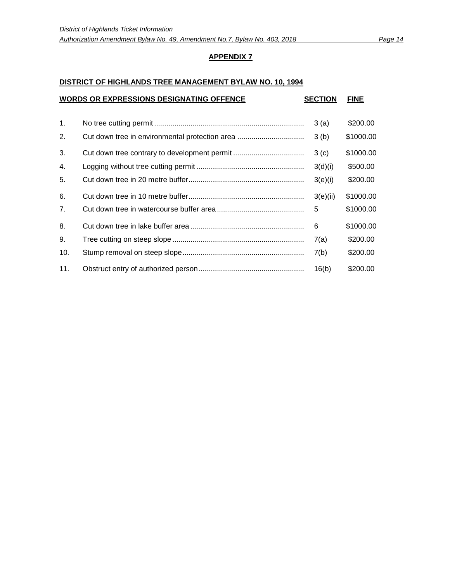#### **DISTRICT OF HIGHLANDS TREE MANAGEMENT BYLAW NO. 10, 1994**

| <b>WORDS OR EXPRESSIONS DESIGNATING OFFENCE</b> |  |          | <b>FINE</b> |
|-------------------------------------------------|--|----------|-------------|
| 1.                                              |  | 3(a)     | \$200.00    |
| 2.                                              |  | 3(b)     | \$1000.00   |
| 3.                                              |  | 3(c)     | \$1000.00   |
| 4.                                              |  | 3(d)(i)  | \$500.00    |
| 5.                                              |  | 3(e)(i)  | \$200.00    |
| 6.                                              |  | 3(e)(ii) | \$1000.00   |
| 7 <sub>1</sub>                                  |  | 5        | \$1000.00   |
| 8.                                              |  | 6        | \$1000.00   |
| 9.                                              |  | 7(a)     | \$200.00    |
| 10.                                             |  | 7(b)     | \$200.00    |
| 11.                                             |  | 16(b)    | \$200.00    |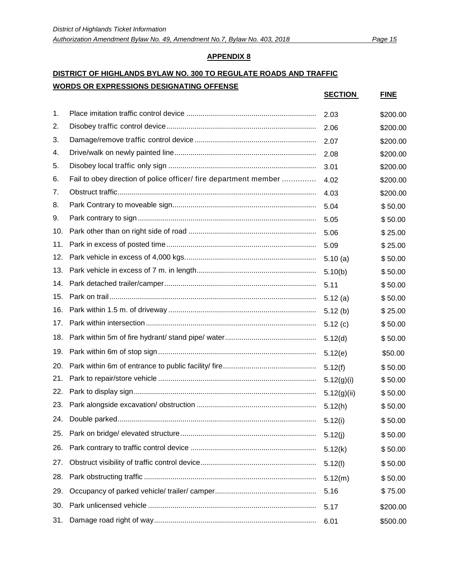## **DISTRICT OF HIGHLANDS BYLAW NO. 300 TO REGULATE ROADS AND TRAFFIC WORDS OR EXPRESSIONS DESIGNATING OFFENSE**

|     | <u>10 Un em neconomo e estonamilo Un emol</u>                    | <b>SECTION</b> | <b>FINE</b> |
|-----|------------------------------------------------------------------|----------------|-------------|
| 1.  |                                                                  | 2.03           | \$200.00    |
| 2.  |                                                                  | 2.06           | \$200.00    |
| 3.  |                                                                  | 2.07           | \$200.00    |
| 4.  |                                                                  | 2.08           | \$200.00    |
| 5.  |                                                                  | 3.01           | \$200.00    |
| 6.  | Fail to obey direction of police officer/ fire department member | 4.02           | \$200.00    |
| 7.  |                                                                  | 4.03           | \$200.00    |
| 8.  |                                                                  | 5.04           | \$50.00     |
| 9.  |                                                                  | 5.05           | \$50.00     |
| 10. |                                                                  | 5.06           | \$25.00     |
| 11. |                                                                  | 5.09           | \$25.00     |
| 12. |                                                                  | 5.10(a)        | \$50.00     |
| 13. |                                                                  | 5.10(b)        | \$50.00     |
| 14. |                                                                  | 5.11           | \$50.00     |
| 15. |                                                                  | 5.12(a)        | \$50.00     |
| 16. |                                                                  | 5.12(b)        | \$25.00     |
| 17. |                                                                  | 5.12(c)        | \$50.00     |
| 18. |                                                                  | 5.12(d)        | \$50.00     |
| 19. |                                                                  | 5.12(e)        | \$50.00     |
| 20. |                                                                  | 5.12(f)        | \$50.00     |
| 21. |                                                                  | 5.12(g)(i)     | \$50.00     |
| 22. |                                                                  | 5.12(g)(ii)    | \$50.00     |
| 23. |                                                                  | 5.12(h)        | \$50.00     |
| 24. |                                                                  | 5.12(i)        | \$50.00     |
| 25. |                                                                  | 5.12(j)        | \$50.00     |
| 26. |                                                                  | 5.12(k)        | \$50.00     |
| 27. |                                                                  | 5.12(l)        | \$50.00     |
| 28. |                                                                  | 5.12(m)        | \$50.00     |
| 29. |                                                                  | 5.16           | \$75.00     |
| 30. |                                                                  | 5.17           | \$200.00    |
| 31. |                                                                  | 6.01           | \$500.00    |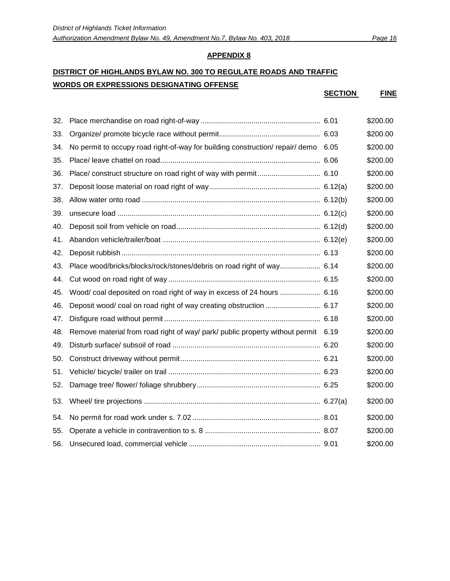# **DISTRICT OF HIGHLANDS BYLAW NO. 300 TO REGULATE ROADS AND TRAFFIC**

**APPENDIX 8**

## **WORDS OR EXPRESSIONS DESIGNATING OFFENSE**

**SECTION FINE**

| 32. |                                                                                    | \$200.00 |
|-----|------------------------------------------------------------------------------------|----------|
| 33. |                                                                                    | \$200.00 |
| 34. | No permit to occupy road right-of-way for building construction/ repair/ demo 6.05 | \$200.00 |
| 35. |                                                                                    | \$200.00 |
| 36. |                                                                                    | \$200.00 |
| 37. |                                                                                    | \$200.00 |
| 38. |                                                                                    | \$200.00 |
| 39. |                                                                                    | \$200.00 |
| 40. |                                                                                    | \$200.00 |
| 41. |                                                                                    | \$200.00 |
| 42. |                                                                                    | \$200.00 |
| 43. | Place wood/bricks/blocks/rock/stones/debris on road right of way 6.14              | \$200.00 |
| 44. |                                                                                    | \$200.00 |
| 45. | Wood/ coal deposited on road right of way in excess of 24 hours  6.16              | \$200.00 |
| 46. |                                                                                    | \$200.00 |
| 47. |                                                                                    | \$200.00 |
| 48. | Remove material from road right of way/ park/ public property without permit 6.19  | \$200.00 |
| 49. |                                                                                    | \$200.00 |
| 50. |                                                                                    | \$200.00 |
| 51. |                                                                                    | \$200.00 |
| 52. |                                                                                    | \$200.00 |
| 53. |                                                                                    | \$200.00 |
| 54. |                                                                                    | \$200.00 |
| 55. |                                                                                    | \$200.00 |
| 56. |                                                                                    | \$200.00 |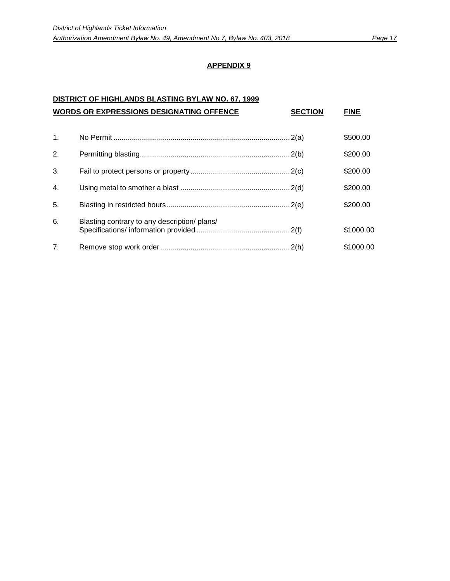## **DISTRICT OF HIGHLANDS BLASTING BYLAW NO. 67, 1999**

|                | <b>WORDS OR EXPRESSIONS DESIGNATING OFFENCE</b> | <b>SECTION</b> | FINE      |
|----------------|-------------------------------------------------|----------------|-----------|
| $\mathbf{1}$ . |                                                 |                | \$500.00  |
| 2.             |                                                 |                | \$200.00  |
| 3.             |                                                 |                | \$200.00  |
| $\mathbf{4}$ . |                                                 |                | \$200.00  |
| 5.             |                                                 |                | \$200.00  |
| 6.             | Blasting contrary to any description/ plans/    |                | \$1000.00 |
| 7 <sub>1</sub> |                                                 |                | \$1000.00 |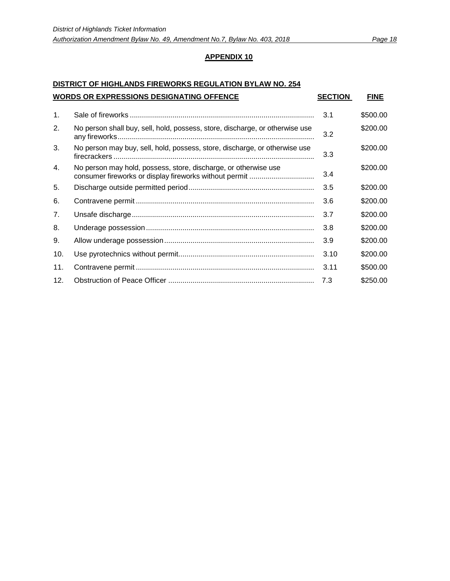## **DISTRICT OF HIGHLANDS FIREWORKS REGULATION BYLAW NO. 254 WORDS OR EXPRESSIONS DESIGNATING OFFENCE SECTION FINE**

| $\mathbf{1}$ . |                                                                                                                           | 3.1  | \$500.00 |
|----------------|---------------------------------------------------------------------------------------------------------------------------|------|----------|
| 2.             | No person shall buy, sell, hold, possess, store, discharge, or otherwise use                                              | 3.2  | \$200.00 |
| 3.             | No person may buy, sell, hold, possess, store, discharge, or otherwise use                                                | 3.3  | \$200.00 |
| 4.             | No person may hold, possess, store, discharge, or otherwise use<br>consumer fireworks or display fireworks without permit | 3.4  | \$200.00 |
| 5.             |                                                                                                                           | 3.5  | \$200.00 |
| 6.             |                                                                                                                           | 3.6  | \$200.00 |
| 7 <sub>1</sub> |                                                                                                                           | 3.7  | \$200.00 |
| 8.             |                                                                                                                           | 3.8  | \$200.00 |
| 9.             |                                                                                                                           | 3.9  | \$200.00 |
| 10.            |                                                                                                                           | 3.10 | \$200.00 |
| 11.            |                                                                                                                           | 3.11 | \$500.00 |
| 12.            |                                                                                                                           | 7.3  | \$250.00 |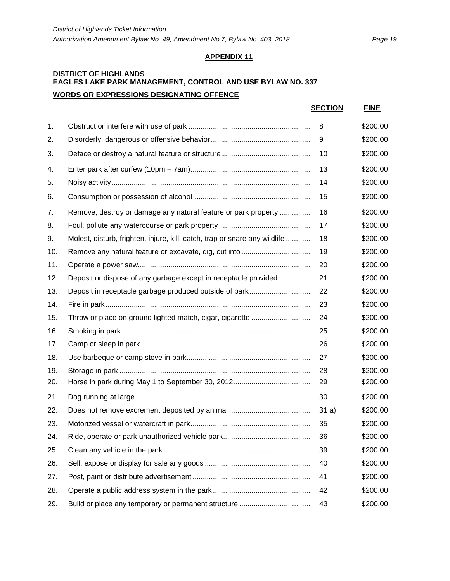#### **DISTRICT OF HIGHLANDS EAGLES LAKE PARK MANAGEMENT, CONTROL AND USE BYLAW NO. 337 WORDS OR EXPRESSIONS DESIGNATING OFFENCE**

|     |                                                                            | <b>SECTION</b> | <b>FINE</b> |
|-----|----------------------------------------------------------------------------|----------------|-------------|
| 1.  |                                                                            | 8              | \$200.00    |
| 2.  |                                                                            | 9              | \$200.00    |
| 3.  |                                                                            | 10             | \$200.00    |
| 4.  |                                                                            | 13             | \$200.00    |
| 5.  |                                                                            | 14             | \$200.00    |
| 6.  |                                                                            | 15             | \$200.00    |
| 7.  | Remove, destroy or damage any natural feature or park property             | 16             | \$200.00    |
| 8.  |                                                                            | 17             | \$200.00    |
| 9.  | Molest, disturb, frighten, injure, kill, catch, trap or snare any wildlife | 18             | \$200.00    |
| 10. |                                                                            | 19             | \$200.00    |
| 11. |                                                                            | 20             | \$200.00    |
| 12. | Deposit or dispose of any garbage except in receptacle provided            | 21             | \$200.00    |
| 13. |                                                                            | 22             | \$200.00    |
| 14. |                                                                            | 23             | \$200.00    |
| 15. |                                                                            | 24             | \$200.00    |
| 16. |                                                                            | 25             | \$200.00    |
| 17. |                                                                            | 26             | \$200.00    |
| 18. |                                                                            | 27             | \$200.00    |
| 19. |                                                                            | 28             | \$200.00    |
| 20. |                                                                            | 29             | \$200.00    |
| 21. |                                                                            | 30             | \$200.00    |
| 22. |                                                                            | 31a)           | \$200.00    |
| 23. |                                                                            | 35             | \$200.00    |
| 24. |                                                                            | 36             | \$200.00    |
| 25. |                                                                            | 39             | \$200.00    |
| 26. |                                                                            | 40             | \$200.00    |
| 27. |                                                                            | 41             | \$200.00    |
| 28. |                                                                            | 42             | \$200.00    |
| 29. |                                                                            | 43             | \$200.00    |